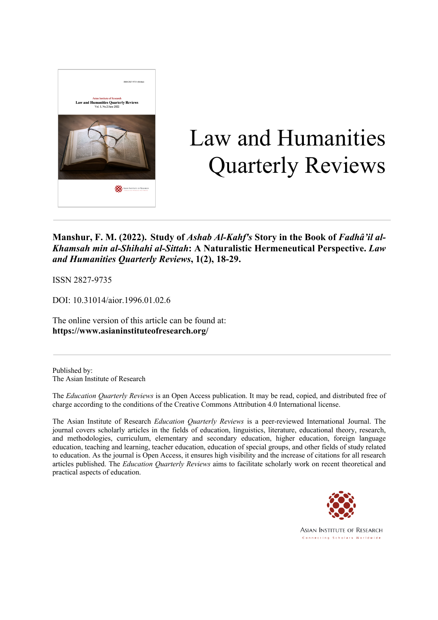

# Law and Humanities Quarterly Reviews

### **Manshur, F. M. (2022). Study of** *Ashab Al-Kahf's* **Story in the Book of** *Fadhâ'il al-Khamsah min al-Shihahi al-Sittah***: A Naturalistic Hermeneutical Perspective.** *Law and Humanities Quarterly Reviews***, 1(2), 18-29.**

ISSN 2827-9735

DOI: 10.31014/aior.1996.01.02.6

The online version of this article can be found at: **https://www.asianinstituteofresearch.org/**

Published by: The Asian Institute of Research

The *Education Quarterly Reviews* is an Open Access publication. It may be read, copied, and distributed free of charge according to the conditions of the Creative Commons Attribution 4.0 International license.

The Asian Institute of Research *Education Quarterly Reviews* is a peer-reviewed International Journal. The journal covers scholarly articles in the fields of education, linguistics, literature, educational theory, research, and methodologies, curriculum, elementary and secondary education, higher education, foreign language education, teaching and learning, teacher education, education of special groups, and other fields of study related to education. As the journal is Open Access, it ensures high visibility and the increase of citations for all research articles published. The *Education Quarterly Reviews* aims to facilitate scholarly work on recent theoretical and practical aspects of education.



**ASIAN INSTITUTE OF RESEARCH** Connecting Scholars Worldwide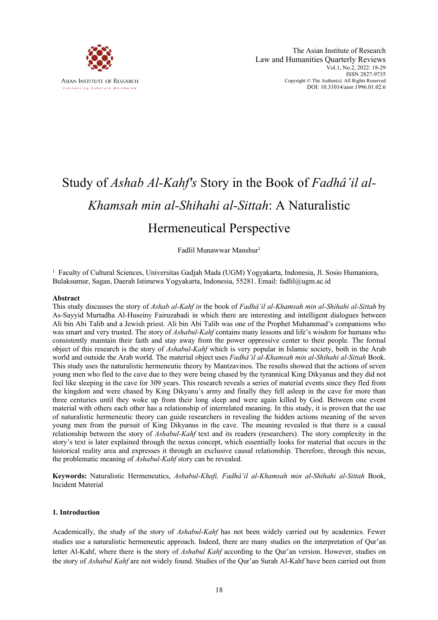

## Study of *Ashab Al-Kahf's* Story in the Book of *Fadhâ'il al-Khamsah min al-Shihahi al-Sittah*: A Naturalistic Hermeneutical Perspective

Fadlil Munawwar Manshur<sup>1</sup>

<sup>1</sup> Faculty of Cultural Sciences, Universitas Gadjah Mada (UGM) Yogyakarta, Indonesia, Jl. Sosio Humaniora, Bulaksumur, Sagan, Daerah Istimewa Yogyakarta, Indonesia, 55281. Email: fadlil@ugm.ac.id

#### **Abstract**

This study discusses the story of *Ashab al-Kahf in* the book of *Fadhâ'il al-Khamsah min al-Shihahi al-Sittah* by As-Sayyid Murtadha Al-Huseiny Fairuzabadi in which there are interesting and intelligent dialogues between Ali bin Abi Talib and a Jewish priest. Ali bin Abi Talib was one of the Prophet Muhammad's companions who was smart and very trusted. The story of *Ashabul-Kahf* contains many lessons and life's wisdom for humans who consistently maintain their faith and stay away from the power oppressive center to their people. The formal object of this research is the story of *Ashabul-Kahf* which is very popular in Islamic society, both in the Arab world and outside the Arab world. The material object uses *Fadhâ'il al-Khamsah min al-Shihahi al-Sittah* Book. This study uses the naturalistic hermeneutic theory by Mantzavinos. The results showed that the actions of seven young men who fled to the cave due to they were being chased by the tyrannical King Dikyanus and they did not feel like sleeping in the cave for 309 years. This research reveals a series of material events since they fled from the kingdom and were chased by King Dikyanu's army and finally they fell asleep in the cave for more than three centuries until they woke up from their long sleep and were again killed by God. Between one event material with others each other has a relationship of interrelated meaning. In this study, it is proven that the use of naturalistic hermeneutic theory can guide researchers in revealing the hidden actions meaning of the seven young men from the pursuit of King Dikyanus in the cave. The meaning revealed is that there is a causal relationship between the story of *Ashabul-Kahf* text and its readers (researchers). The story complexity in the story's text is later explained through the nexus concept, which essentially looks for material that occurs in the historical reality area and expresses it through an exclusive causal relationship. Therefore, through this nexus, the problematic meaning of *Ashabul-Kahf* story can be revealed.

**Keywords:** Naturalistic Hermeneutics, *Ashabul-Khafi, Fadhâ'il al-Khamsah min al-Shihahi al-Sittah* Book, Incident Material

#### **1. Introduction**

Academically, the study of the story of *Ashabul-Kahf* has not been widely carried out by academics. Fewer studies use a naturalistic hermeneutic approach. Indeed, there are many studies on the interpretation of Qur'an letter Al-Kahf, where there is the story of *Ashabul Kahf* according to the Qur'an version. However, studies on the story of *Ashabul Kahf* are not widely found. Studies of the Qur'an Surah Al-Kahf have been carried out from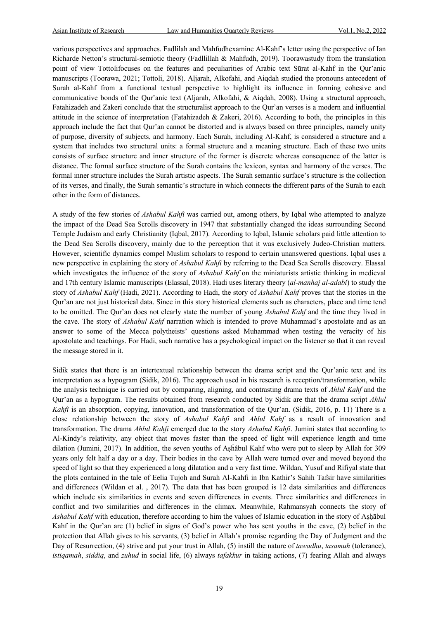various perspectives and approaches. Fadlilah and Mahfudhexamine Al-Kahf's letter using the perspective of Ian Richarde Netton's structural-semiotic theory (Fadllillah & Mahfudh, 2019). Toorawastudy from the translation point of view Tottolifocuses on the features and peculiarities of Arabic text Sūrat al-Kahf in the Qur'anic manuscripts (Toorawa, 2021; Tottoli, 2018). Aljarah, Alkofahi, and Aiqdah studied the pronouns antecedent of Surah al-Kahf from a functional textual perspective to highlight its influence in forming cohesive and communicative bonds of the Qur'anic text (Aljarah, Alkofahi, & Aiqdah, 2008). Using a structural approach, Fatahizadeh and Zakeri conclude that the structuralist approach to the Qur'an verses is a modern and influential attitude in the science of interpretation (Fatahizadeh & Zakeri, 2016). According to both, the principles in this approach include the fact that Qur'an cannot be distorted and is always based on three principles, namely unity of purpose, diversity of subjects, and harmony. Each Surah, including Al-Kahf, is considered a structure and a system that includes two structural units: a formal structure and a meaning structure. Each of these two units consists of surface structure and inner structure of the former is discrete whereas consequence of the latter is distance. The formal surface structure of the Surah contains the lexicon, syntax and harmony of the verses. The formal inner structure includes the Surah artistic aspects. The Surah semantic surface's structure is the collection of its verses, and finally, the Surah semantic's structure in which connects the different parts of the Surah to each other in the form of distances.

A study of the few stories of *Ashabul Kahfi* was carried out, among others, by Iqbal who attempted to analyze the impact of the Dead Sea Scrolls discovery in 1947 that substantially changed the ideas surrounding Second Temple Judaism and early Christianity (Iqbal, 2017). According to Iqbal, Islamic scholars paid little attention to the Dead Sea Scrolls discovery, mainly due to the perception that it was exclusively Judeo-Christian matters. However, scientific dynamics compel Muslim scholars to respond to certain unanswered questions. Iqbal uses a new perspective in explaining the story of *Ashabul Kahfi* by referring to the Dead Sea Scrolls discovery. Elassal which investigates the influence of the story of *Ashabul Kahf* on the miniaturists artistic thinking in medieval and 17th century Islamic manuscripts (Elassal, 2018). Hadi uses literary theory (*al-manhaj al-adabi*) to study the story of *Ashabul Kahf* (Hadi, 2021). According to Hadi, the story of *Ashabul Kahf* proves that the stories in the Qur'an are not just historical data. Since in this story historical elements such as characters, place and time tend to be omitted. The Qur'an does not clearly state the number of young *Ashabul Kahf* and the time they lived in the cave. The story of *Ashabul Kahf* narration which is intended to prove Muhammad's apostolate and as an answer to some of the Mecca polytheists' questions asked Muhammad when testing the veracity of his apostolate and teachings. For Hadi, such narrative has a psychological impact on the listener so that it can reveal the message stored in it.

Sidik states that there is an intertextual relationship between the drama script and the Qur'anic text and its interpretation as a hypogram (Sidik, 2016). The approach used in his research is reception/transformation, while the analysis technique is carried out by comparing, aligning, and contrasting drama texts of *Ahlul Kahf* and the Qur'an as a hypogram. The results obtained from research conducted by Sidik are that the drama script *Ahlul Kahfi* is an absorption, copying, innovation, and transformation of the Qur'an. (Sidik, 2016, p. 11) There is a close relationship between the story of *Ashabul Kahfi* and *Ahlul Kahf* as a result of innovation and transformation. The drama *Ahlul Kahfi* emerged due to the story *Ashabul Kahfi*. Jumini states that according to Al-Kindy's relativity, any object that moves faster than the speed of light will experience length and time dilation (Jumini, 2017). In addition, the seven youths of Ashâbul Kahf who were put to sleep by Allah for 309 years only felt half a day or a day. Their bodies in the cave by Allah were turned over and moved beyond the speed of light so that they experienced a long dilatation and a very fast time. Wildan, Yusuf and Rifiyal state that the plots contained in the tale of Eelia Tujoh and Surah Al-Kahfi in Ibn Kathir's Sahih Tafsir have similarities and differences (Wildan et al. , 2017). The data that has been grouped is 12 data similarities and differences which include six similarities in events and seven differences in events. Three similarities and differences in conflict and two similarities and differences in the climax. Meanwhile, Rahmansyah connects the story of *Ashabul Kahf* with education, therefore according to him the values of Islamic education in the story of Aṣḥābul Kahf in the Qur'an are (1) belief in signs of God's power who has sent youths in the cave, (2) belief in the protection that Allah gives to his servants, (3) belief in Allah's promise regarding the Day of Judgment and the Day of Resurrection, (4) strive and put your trust in Allah, (5) instill the nature of *tawadhu*, *tasamuh* (tolerance), *istiqamah*, *siddiq*, and *zuhud* in social life, (6) always *tafakkur* in taking actions, (7) fearing Allah and always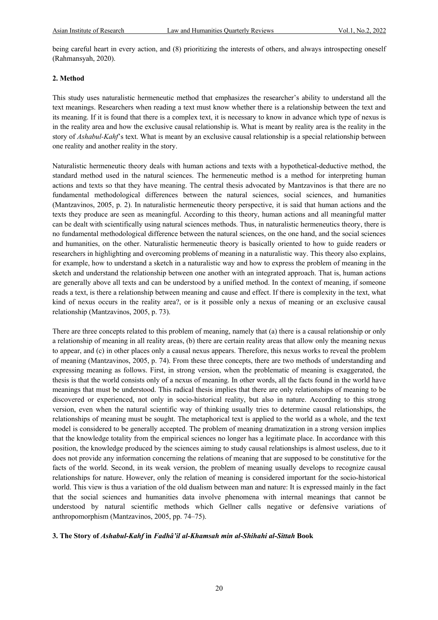being careful heart in every action, and (8) prioritizing the interests of others, and always introspecting oneself (Rahmansyah, 2020).

#### **2. Method**

This study uses naturalistic hermeneutic method that emphasizes the researcher's ability to understand all the text meanings. Researchers when reading a text must know whether there is a relationship between the text and its meaning. If it is found that there is a complex text, it is necessary to know in advance which type of nexus is in the reality area and how the exclusive causal relationship is. What is meant by reality area is the reality in the story of *Ashabul-Kahf*'s text. What is meant by an exclusive causal relationship is a special relationship between one reality and another reality in the story.

Naturalistic hermeneutic theory deals with human actions and texts with a hypothetical-deductive method, the standard method used in the natural sciences. The hermeneutic method is a method for interpreting human actions and texts so that they have meaning. The central thesis advocated by Mantzavinos is that there are no fundamental methodological differences between the natural sciences, social sciences, and humanities (Mantzavinos, 2005, p. 2). In naturalistic hermeneutic theory perspective, it is said that human actions and the texts they produce are seen as meaningful. According to this theory, human actions and all meaningful matter can be dealt with scientifically using natural sciences methods. Thus, in naturalistic hermeneutics theory, there is no fundamental methodological difference between the natural sciences, on the one hand, and the social sciences and humanities, on the other. Naturalistic hermeneutic theory is basically oriented to how to guide readers or researchers in highlighting and overcoming problems of meaning in a naturalistic way. This theory also explains, for example, how to understand a sketch in a naturalistic way and how to express the problem of meaning in the sketch and understand the relationship between one another with an integrated approach. That is, human actions are generally above all texts and can be understood by a unified method. In the context of meaning, if someone reads a text, is there a relationship between meaning and cause and effect. If there is complexity in the text, what kind of nexus occurs in the reality area?, or is it possible only a nexus of meaning or an exclusive causal relationship (Mantzavinos, 2005, p. 73).

There are three concepts related to this problem of meaning, namely that (a) there is a causal relationship or only a relationship of meaning in all reality areas, (b) there are certain reality areas that allow only the meaning nexus to appear, and (c) in other places only a causal nexus appears. Therefore, this nexus works to reveal the problem of meaning (Mantzavinos, 2005, p. 74). From these three concepts, there are two methods of understanding and expressing meaning as follows. First, in strong version, when the problematic of meaning is exaggerated, the thesis is that the world consists only of a nexus of meaning. In other words, all the facts found in the world have meanings that must be understood. This radical thesis implies that there are only relationships of meaning to be discovered or experienced, not only in socio-historical reality, but also in nature. According to this strong version, even when the natural scientific way of thinking usually tries to determine causal relationships, the relationships of meaning must be sought. The metaphorical text is applied to the world as a whole, and the text model is considered to be generally accepted. The problem of meaning dramatization in a strong version implies that the knowledge totality from the empirical sciences no longer has a legitimate place. In accordance with this position, the knowledge produced by the sciences aiming to study causal relationships is almost useless, due to it does not provide any information concerning the relations of meaning that are supposed to be constitutive for the facts of the world. Second, in its weak version, the problem of meaning usually develops to recognize causal relationships for nature. However, only the relation of meaning is considered important for the socio-historical world. This view is thus a variation of the old dualism between man and nature: It is expressed mainly in the fact that the social sciences and humanities data involve phenomena with internal meanings that cannot be understood by natural scientific methods which Gellner calls negative or defensive variations of anthropomorphism (Mantzavinos, 2005, pp. 74–75).

#### **3. The Story of** *Ashabul-Kahf* **in** *Fadhâ'il al-Khamsah min al-Shihahi al-Sittah* **Book**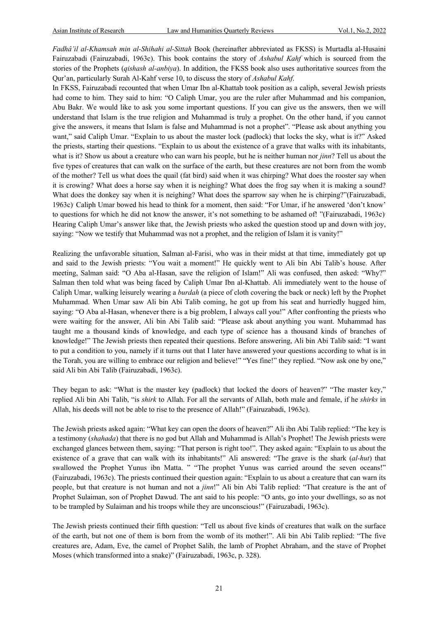*Fadhâ'il al-Khamsah min al-Shihahi al-Sittah* Book (hereinafter abbreviated as FKSS) is Murtadla al-Husaini Fairuzabadi (Fairuzabadi, 1963c). This book contains the story of *Ashabul Kahf* which is sourced from the stories of the Prophets (*qishash al-anbiya*). In addition, the FKSS book also uses authoritative sources from the Qur'an, particularly Surah Al-Kahf verse 10, to discuss the story of *Ashabul Kahf*.

In FKSS, Fairuzabadi recounted that when Umar Ibn al-Khattab took position as a caliph, several Jewish priests had come to him. They said to him: "O Caliph Umar, you are the ruler after Muhammad and his companion, Abu Bakr. We would like to ask you some important questions. If you can give us the answers, then we will understand that Islam is the true religion and Muhammad is truly a prophet. On the other hand, if you cannot give the answers, it means that Islam is false and Muhammad is not a prophet". "Please ask about anything you want," said Caliph Umar. "Explain to us about the master lock (padlock) that locks the sky, what is it?" Asked the priests, starting their questions. "Explain to us about the existence of a grave that walks with its inhabitants, what is it? Show us about a creature who can warn his people, but he is neither human nor *jinn*? Tell us about the five types of creatures that can walk on the surface of the earth, but these creatures are not born from the womb of the mother? Tell us what does the quail (fat bird) said when it was chirping? What does the rooster say when it is crowing? What does a horse say when it is neighing? What does the frog say when it is making a sound? What does the donkey say when it is neighing? What does the sparrow say when he is chirping?"(Fairuzabadi, 1963c). Caliph Umar bowed his head to think for a moment, then said: "For Umar, if he answered 'don't know' to questions for which he did not know the answer, it's not something to be ashamed of! "(Fairuzabadi, 1963c). Hearing Caliph Umar's answer like that, the Jewish priests who asked the question stood up and down with joy, saying: "Now we testify that Muhammad was not a prophet, and the religion of Islam it is vanity!"

Realizing the unfavorable situation, Salman al-Farisi, who was in their midst at that time, immediately got up and said to the Jewish priests: "You wait a moment!" He quickly went to Ali bin Abi Talib's house. After meeting, Salman said: "O Aba al-Hasan, save the religion of Islam!" Ali was confused, then asked: "Why?" Salman then told what was being faced by Caliph Umar Ibn al-Khattab. Ali immediately went to the house of Caliph Umar, walking leisurely wearing a *burdah* (a piece of cloth covering the back or neck) left by the Prophet Muhammad. When Umar saw Ali bin Abi Talib coming, he got up from his seat and hurriedly hugged him, saying: "O Aba al-Hasan, whenever there is a big problem, I always call you!" After confronting the priests who were waiting for the answer, Ali bin Abi Talib said: "Please ask about anything you want. Muhammad has taught me a thousand kinds of knowledge, and each type of science has a thousand kinds of branches of knowledge!" The Jewish priests then repeated their questions. Before answering, Ali bin Abi Talib said: "I want to put a condition to you, namely if it turns out that I later have answered your questions according to what is in the Torah, you are willing to embrace our religion and believe!" "Yes fine!" they replied. "Now ask one by one," said Ali bin Abi Talib (Fairuzabadi, 1963c).

They began to ask: "What is the master key (padlock) that locked the doors of heaven?" "The master key," replied Ali bin Abi Talib, "is *shirk* to Allah. For all the servants of Allah, both male and female, if he *shirks* in Allah, his deeds will not be able to rise to the presence of Allah!" (Fairuzabadi, 1963c).

The Jewish priests asked again: "What key can open the doors of heaven?" Ali ibn Abi Talib replied: "The key is a testimony (*shahada*) that there is no god but Allah and Muhammad is Allah's Prophet! The Jewish priests were exchanged glances between them, saying: "That person is right too!". They asked again: "Explain to us about the existence of a grave that can walk with its inhabitants!" Ali answered: "The grave is the shark (*al-hut*) that swallowed the Prophet Yunus ibn Matta. " "The prophet Yunus was carried around the seven oceans!" (Fairuzabadi, 1963c). The priests continued their question again: "Explain to us about a creature that can warn its people, but that creature is not human and not a *jinn*!" Ali bin Abi Talib replied: "That creature is the ant of Prophet Sulaiman, son of Prophet Dawud. The ant said to his people: "O ants, go into your dwellings, so as not to be trampled by Sulaiman and his troops while they are unconscious!" (Fairuzabadi, 1963c).

The Jewish priests continued their fifth question: "Tell us about five kinds of creatures that walk on the surface of the earth, but not one of them is born from the womb of its mother!". Ali bin Abi Talib replied: "The five creatures are, Adam, Eve, the camel of Prophet Salih, the lamb of Prophet Abraham, and the stave of Prophet Moses (which transformed into a snake)" (Fairuzabadi, 1963c, p. 328).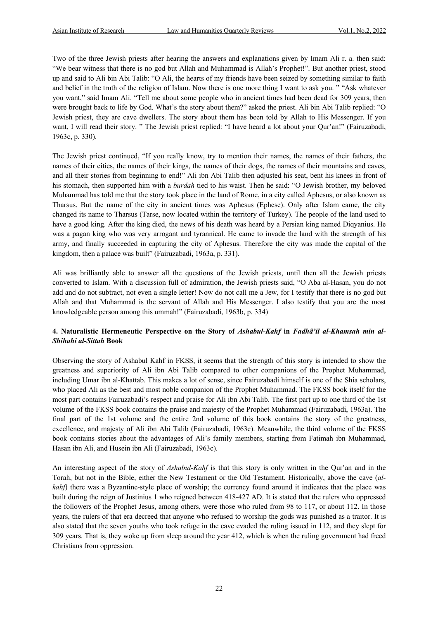Two of the three Jewish priests after hearing the answers and explanations given by Imam Ali r. a. then said: "We bear witness that there is no god but Allah and Muhammad is Allah's Prophet!". But another priest, stood up and said to Ali bin Abi Talib: "O Ali, the hearts of my friends have been seized by something similar to faith and belief in the truth of the religion of Islam. Now there is one more thing I want to ask you. " "Ask whatever you want," said Imam Ali. "Tell me about some people who in ancient times had been dead for 309 years, then were brought back to life by God. What's the story about them?" asked the priest. Ali bin Abi Talib replied: "O Jewish priest, they are cave dwellers. The story about them has been told by Allah to His Messenger. If you want, I will read their story. " The Jewish priest replied: "I have heard a lot about your Qur'an!" (Fairuzabadi, 1963c, p. 330).

The Jewish priest continued, "If you really know, try to mention their names, the names of their fathers, the names of their cities, the names of their kings, the names of their dogs, the names of their mountains and caves, and all their stories from beginning to end!" Ali ibn Abi Talib then adjusted his seat, bent his knees in front of his stomach, then supported him with a *burdah* tied to his waist. Then he said: "O Jewish brother, my beloved Muhammad has told me that the story took place in the land of Rome, in a city called Aphesus, or also known as Tharsus. But the name of the city in ancient times was Aphesus (Ephese). Only after Islam came, the city changed its name to Tharsus (Tarse, now located within the territory of Turkey). The people of the land used to have a good king. After the king died, the news of his death was heard by a Persian king named Diqyanius. He was a pagan king who was very arrogant and tyrannical. He came to invade the land with the strength of his army, and finally succeeded in capturing the city of Aphesus. Therefore the city was made the capital of the kingdom, then a palace was built" (Fairuzabadi, 1963a, p. 331).

Ali was brilliantly able to answer all the questions of the Jewish priests, until then all the Jewish priests converted to Islam. With a discussion full of admiration, the Jewish priests said, "O Aba al-Hasan, you do not add and do not subtract, not even a single letter! Now do not call me a Jew, for I testify that there is no god but Allah and that Muhammad is the servant of Allah and His Messenger. I also testify that you are the most knowledgeable person among this ummah!" (Fairuzabadi, 1963b, p. 334).

#### **4. Naturalistic Hermeneutic Perspective on the Story of** *Ashabul-Kahf* **in** *Fadhâ'il al-Khamsah min al-Shihahi al-Sittah* **Book**

Observing the story of Ashabul Kahf in FKSS, it seems that the strength of this story is intended to show the greatness and superiority of Ali ibn Abi Talib compared to other companions of the Prophet Muhammad, including Umar ibn al-Khattab. This makes a lot of sense, since Fairuzabadi himself is one of the Shia scholars, who placed Ali as the best and most noble companion of the Prophet Muhammad. The FKSS book itself for the most part contains Fairuzabadi's respect and praise for Ali ibn Abi Talib. The first part up to one third of the 1st volume of the FKSS book contains the praise and majesty of the Prophet Muhammad (Fairuzabadi, 1963a). The final part of the 1st volume and the entire 2nd volume of this book contains the story of the greatness, excellence, and majesty of Ali ibn Abi Talib (Fairuzabadi, 1963c). Meanwhile, the third volume of the FKSS book contains stories about the advantages of Ali's family members, starting from Fatimah ibn Muhammad, Hasan ibn Ali, and Husein ibn Ali (Fairuzabadi, 1963c).

An interesting aspect of the story of *Ashabul-Kahf* is that this story is only written in the Qur'an and in the Torah, but not in the Bible, either the New Testament or the Old Testament. Historically, above the cave (*alkahf*) there was a Byzantine-style place of worship; the currency found around it indicates that the place was built during the reign of Justinius 1 who reigned between 418-427 AD. It is stated that the rulers who oppressed the followers of the Prophet Jesus, among others, were those who ruled from 98 to 117, or about 112. In those years, the rulers of that era decreed that anyone who refused to worship the gods was punished as a traitor. It is also stated that the seven youths who took refuge in the cave evaded the ruling issued in 112, and they slept for 309 years. That is, they woke up from sleep around the year 412, which is when the ruling government had freed Christians from oppression.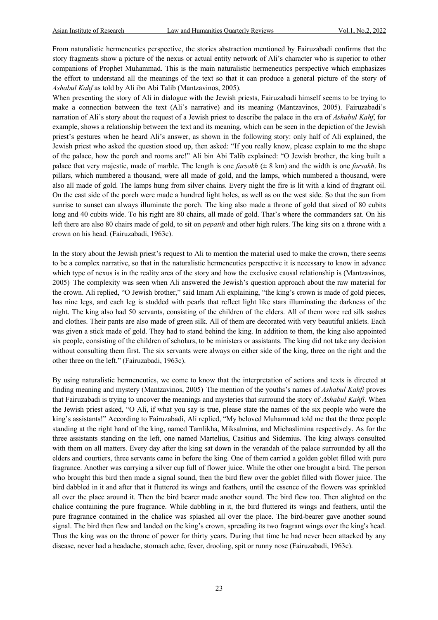From naturalistic hermeneutics perspective, the stories abstraction mentioned by Fairuzabadi confirms that the story fragments show a picture of the nexus or actual entity network of Ali's character who is superior to other companions of Prophet Muhammad. This is the main naturalistic hermeneutics perspective which emphasizes the effort to understand all the meanings of the text so that it can produce a general picture of the story of *Ashabul Kahf* as told by Ali ibn Abi Talib (Mantzavinos, 2005).

When presenting the story of Ali in dialogue with the Jewish priests, Fairuzabadi himself seems to be trying to make a connection between the text (Ali's narrative) and its meaning (Mantzavinos, 2005). Fairuzabadi's narration of Ali's story about the request of a Jewish priest to describe the palace in the era of *Ashabul Kahf*, for example, shows a relationship between the text and its meaning, which can be seen in the depiction of the Jewish priest's gestures when he heard Ali's answer, as shown in the following story: only half of Ali explained, the Jewish priest who asked the question stood up, then asked: "If you really know, please explain to me the shape of the palace, how the porch and rooms are!" Ali bin Abi Talib explained: "O Jewish brother, the king built a palace that very majestic, made of marble. The length is one *farsakh* (± 8 km) and the width is one *farsakh*. Its pillars, which numbered a thousand, were all made of gold, and the lamps, which numbered a thousand, were also all made of gold. The lamps hung from silver chains. Every night the fire is lit with a kind of fragrant oil. On the east side of the porch were made a hundred light holes, as well as on the west side. So that the sun from sunrise to sunset can always illuminate the porch. The king also made a throne of gold that sized of 80 cubits long and 40 cubits wide. To his right are 80 chairs, all made of gold. That's where the commanders sat. On his left there are also 80 chairs made of gold, to sit on *pepatih* and other high rulers. The king sits on a throne with a crown on his head. (Fairuzabadi, 1963c).

In the story about the Jewish priest's request to Ali to mention the material used to make the crown, there seems to be a complex narrative, so that in the naturalistic hermeneutics perspective it is necessary to know in advance which type of nexus is in the reality area of the story and how the exclusive causal relationship is (Mantzavinos, 2005). The complexity was seen when Ali answered the Jewish's question approach about the raw material for the crown. Ali replied, "O Jewish brother," said Imam Ali explaining, "the king's crown is made of gold pieces, has nine legs, and each leg is studded with pearls that reflect light like stars illuminating the darkness of the night. The king also had 50 servants, consisting of the children of the elders. All of them wore red silk sashes and clothes. Their pants are also made of green silk. All of them are decorated with very beautiful anklets. Each was given a stick made of gold. They had to stand behind the king. In addition to them, the king also appointed six people, consisting of the children of scholars, to be ministers or assistants. The king did not take any decision without consulting them first. The six servants were always on either side of the king, three on the right and the other three on the left." (Fairuzabadi, 1963c).

By using naturalistic hermeneutics, we come to know that the interpretation of actions and texts is directed at finding meaning and mystery (Mantzavinos, 2005). The mention of the youths's names of *Ashabul Kahfi* proves that Fairuzabadi is trying to uncover the meanings and mysteries that surround the story of *Ashabul Kahfi*. When the Jewish priest asked, "O Ali, if what you say is true, please state the names of the six people who were the king's assistants!" According to Fairuzabadi, Ali replied, "My beloved Muhammad told me that the three people standing at the right hand of the king, named Tamlikha, Miksalmina, and Michaslimina respectively. As for the three assistants standing on the left, one named Martelius, Casitius and Sidemius. The king always consulted with them on all matters. Every day after the king sat down in the verandah of the palace surrounded by all the elders and courtiers, three servants came in before the king. One of them carried a golden goblet filled with pure fragrance. Another was carrying a silver cup full of flower juice. While the other one brought a bird. The person who brought this bird then made a signal sound, then the bird flew over the goblet filled with flower juice. The bird dabbled in it and after that it fluttered its wings and feathers, until the essence of the flowers was sprinkled all over the place around it. Then the bird bearer made another sound. The bird flew too. Then alighted on the chalice containing the pure fragrance. While dabbling in it, the bird fluttered its wings and feathers, until the pure fragrance contained in the chalice was splashed all over the place. The bird-bearer gave another sound signal. The bird then flew and landed on the king's crown, spreading its two fragrant wings over the king's head. Thus the king was on the throne of power for thirty years. During that time he had never been attacked by any disease, never had a headache, stomach ache, fever, drooling, spit or runny nose (Fairuzabadi, 1963c).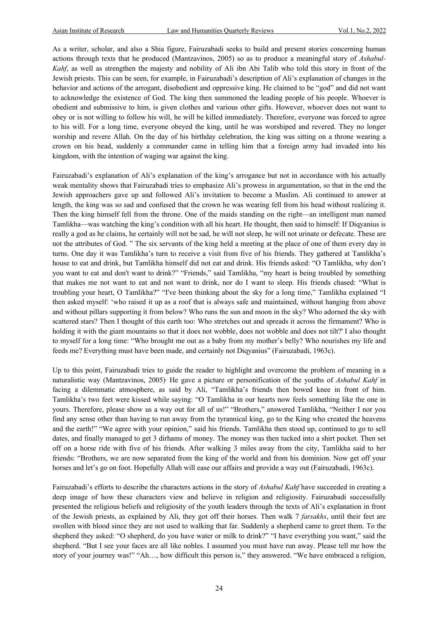As a writer, scholar, and also a Shia figure, Fairuzabadi seeks to build and present stories concerning human actions through texts that he produced (Mantzavinos, 2005) so as to produce a meaningful story of *Ashabul-Kahf*, as well as strengthen the majesty and nobility of Ali ibn Abi Talib who told this story in front of the Jewish priests. This can be seen, for example, in Fairuzabadi's description of Ali's explanation of changes in the behavior and actions of the arrogant, disobedient and oppressive king. He claimed to be "god" and did not want to acknowledge the existence of God. The king then summoned the leading people of his people. Whoever is obedient and submissive to him, is given clothes and various other gifts. However, whoever does not want to obey or is not willing to follow his will, he will be killed immediately. Therefore, everyone was forced to agree to his will. For a long time, everyone obeyed the king, until he was worshiped and revered. They no longer worship and revere Allah. On the day of his birthday celebration, the king was sitting on a throne wearing a crown on his head, suddenly a commander came in telling him that a foreign army had invaded into his kingdom, with the intention of waging war against the king.

Fairuzabadi's explanation of Ali's explanation of the king's arrogance but not in accordance with his actually weak mentality shows that Fairuzabadi tries to emphasize Ali's prowess in argumentation, so that in the end the Jewish approachers gave up and followed Ali's invitation to become a Muslim. Ali continued to answer at length, the king was so sad and confused that the crown he was wearing fell from his head without realizing it. Then the king himself fell from the throne. One of the maids standing on the right—an intelligent man named Tamlikha—was watching the king's condition with all his heart. He thought, then said to himself: If Diqyanius is really a god as he claims, he certainly will not be sad, he will not sleep, he will not urinate or defecate. These are not the attributes of God. " The six servants of the king held a meeting at the place of one of them every day in turns. One day it was Tamlikha's turn to receive a visit from five of his friends. They gathered at Tamlikha's house to eat and drink, but Tamlikha himself did not eat and drink. His friends asked: "O Tamlikha, why don't you want to eat and don't want to drink?" "Friends," said Tamlikha, "my heart is being troubled by something that makes me not want to eat and not want to drink, nor do I want to sleep. His friends chased: "What is troubling your heart, O Tamlikha?" "I've been thinking about the sky for a long time," Tamlikha explained "I then asked myself: 'who raised it up as a roof that is always safe and maintained, without hanging from above and without pillars supporting it from below? Who runs the sun and moon in the sky? Who adorned the sky with scattered stars? Then I thought of this earth too: Who stretches out and spreads it across the firmament? Who is holding it with the giant mountains so that it does not wobble, does not wobble and does not tilt?' I also thought to myself for a long time: "Who brought me out as a baby from my mother's belly? Who nourishes my life and feeds me? Everything must have been made, and certainly not Diqyanius" (Fairuzabadi, 1963c).

Up to this point, Fairuzabadi tries to guide the reader to highlight and overcome the problem of meaning in a naturalistic way (Mantzavinos, 2005). He gave a picture or personification of the youths of *Ashabul Kahf* in facing a dilemmatic atmosphere, as said by Ali, "Tamlikha's friends then bowed knee in front of him. Tamlikha's two feet were kissed while saying: "O Tamlikha in our hearts now feels something like the one in yours. Therefore, please show us a way out for all of us!" "Brothers," answered Tamlikha, "Neither I nor you find any sense other than having to run away from the tyrannical king, go to the King who created the heavens and the earth!" "We agree with your opinion," said his friends. Tamlikha then stood up, continued to go to sell dates, and finally managed to get 3 dirhams of money. The money was then tucked into a shirt pocket. Then set off on a horse ride with five of his friends. After walking 3 miles away from the city, Tamlikha said to her friends: "Brothers, we are now separated from the king of the world and from his dominion. Now get off your horses and let's go on foot. Hopefully Allah will ease our affairs and provide a way out (Fairuzabadi, 1963c).

Fairuzabadi's efforts to describe the characters actions in the story of *Ashabul Kahf* have succeeded in creating a deep image of how these characters view and believe in religion and religiosity. Fairuzabadi successfully presented the religious beliefs and religiosity of the youth leaders through the texts of Ali's explanation in front of the Jewish priests, as explained by Ali, they got off their horses. Then walk 7 *farsakhs*, until their feet are swollen with blood since they are not used to walking that far. Suddenly a shepherd came to greet them. To the shepherd they asked: "O shepherd, do you have water or milk to drink?" "I have everything you want," said the shepherd. "But I see your faces are all like nobles. I assumed you must have run away. Please tell me how the story of your journey was!" "Ah…, how difficult this person is," they answered. "We have embraced a religion,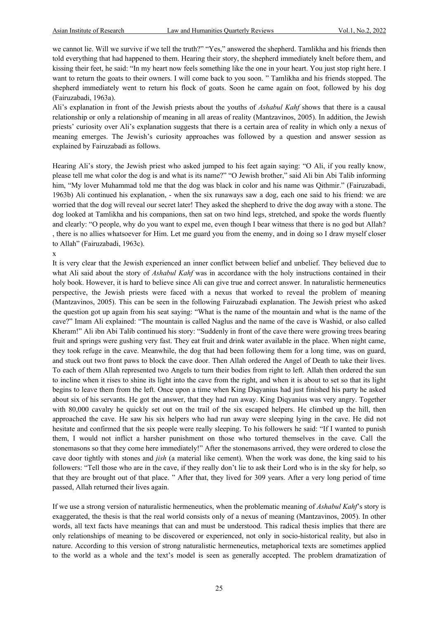we cannot lie. Will we survive if we tell the truth?" "Yes," answered the shepherd. Tamlikha and his friends then told everything that had happened to them. Hearing their story, the shepherd immediately knelt before them, and kissing their feet, he said: "In my heart now feels something like the one in your heart. You just stop right here. I want to return the goats to their owners. I will come back to you soon. " Tamlikha and his friends stopped. The shepherd immediately went to return his flock of goats. Soon he came again on foot, followed by his dog (Fairuzabadi, 1963a).

Ali's explanation in front of the Jewish priests about the youths of *Ashabul Kahf* shows that there is a causal relationship or only a relationship of meaning in all areas of reality (Mantzavinos, 2005). In addition, the Jewish priests' curiosity over Ali's explanation suggests that there is a certain area of reality in which only a nexus of meaning emerges. The Jewish's curiosity approaches was followed by a question and answer session as explained by Fairuzabadi as follows.

Hearing Ali's story, the Jewish priest who asked jumped to his feet again saying: "O Ali, if you really know, please tell me what color the dog is and what is its name?" "O Jewish brother," said Ali bin Abi Talib informing him, "My lover Muhammad told me that the dog was black in color and his name was Qithmir." (Fairuzabadi, 1963b) Ali continued his explanation, - when the six runaways saw a dog, each one said to his friend: we are worried that the dog will reveal our secret later! They asked the shepherd to drive the dog away with a stone. The dog looked at Tamlikha and his companions, then sat on two hind legs, stretched, and spoke the words fluently and clearly: "O people, why do you want to expel me, even though I bear witness that there is no god but Allah? , there is no allies whatsoever for Him. Let me guard you from the enemy, and in doing so I draw myself closer to Allah" (Fairuzabadi, 1963c).

#### x

It is very clear that the Jewish experienced an inner conflict between belief and unbelief. They believed due to what Ali said about the story of *Ashabul Kahf* was in accordance with the holy instructions contained in their holy book. However, it is hard to believe since Ali can give true and correct answer. In naturalistic hermeneutics perspective, the Jewish priests were faced with a nexus that worked to reveal the problem of meaning (Mantzavinos, 2005). This can be seen in the following Fairuzabadi explanation. The Jewish priest who asked the question got up again from his seat saying: "What is the name of the mountain and what is the name of the cave?" Imam Ali explained: "The mountain is called Naglus and the name of the cave is Washid, or also called Kheram!" Ali ibn Abi Talib continued his story: "Suddenly in front of the cave there were growing trees bearing fruit and springs were gushing very fast. They eat fruit and drink water available in the place. When night came, they took refuge in the cave. Meanwhile, the dog that had been following them for a long time, was on guard, and stuck out two front paws to block the cave door. Then Allah ordered the Angel of Death to take their lives. To each of them Allah represented two Angels to turn their bodies from right to left. Allah then ordered the sun to incline when it rises to shine its light into the cave from the right, and when it is about to set so that its light begins to leave them from the left. Once upon a time when King Diqyanius had just finished his party he asked about six of his servants. He got the answer, that they had run away. King Diqyanius was very angry. Together with 80,000 cavalry he quickly set out on the trail of the six escaped helpers. He climbed up the hill, then approached the cave. He saw his six helpers who had run away were sleeping lying in the cave. He did not hesitate and confirmed that the six people were really sleeping. To his followers he said: "If I wanted to punish them, I would not inflict a harsher punishment on those who tortured themselves in the cave. Call the stonemasons so that they come here immediately!" After the stonemasons arrived, they were ordered to close the cave door tightly with stones and *jish* (a material like cement). When the work was done, the king said to his followers: "Tell those who are in the cave, if they really don't lie to ask their Lord who is in the sky for help, so that they are brought out of that place. " After that, they lived for 309 years. After a very long period of time passed, Allah returned their lives again.

If we use a strong version of naturalistic hermeneutics, when the problematic meaning of *Ashabul Kahf*'s story is exaggerated, the thesis is that the real world consists only of a nexus of meaning (Mantzavinos, 2005). In other words, all text facts have meanings that can and must be understood. This radical thesis implies that there are only relationships of meaning to be discovered or experienced, not only in socio-historical reality, but also in nature. According to this version of strong naturalistic hermeneutics, metaphorical texts are sometimes applied to the world as a whole and the text's model is seen as generally accepted. The problem dramatization of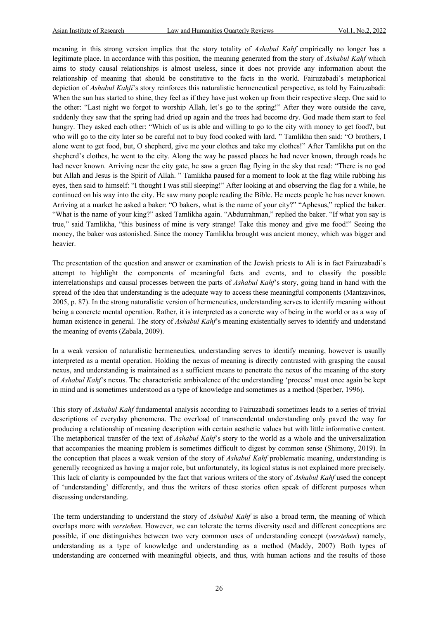meaning in this strong version implies that the story totality of *Ashabul Kahf* empirically no longer has a legitimate place. In accordance with this position, the meaning generated from the story of *Ashabul Kahf* which aims to study causal relationships is almost useless, since it does not provide any information about the relationship of meaning that should be constitutive to the facts in the world. Fairuzabadi's metaphorical depiction of *Ashabul Kahfi*'s story reinforces this naturalistic hermeneutical perspective, as told by Fairuzabadi: When the sun has started to shine, they feel as if they have just woken up from their respective sleep. One said to the other: "Last night we forgot to worship Allah, let's go to the spring!" After they were outside the cave, suddenly they saw that the spring had dried up again and the trees had become dry. God made them start to feel hungry. They asked each other: "Which of us is able and willing to go to the city with money to get food?, but who will go to the city later so be careful not to buy food cooked with lard. " Tamlikha then said: "O brothers, I alone went to get food, but, O shepherd, give me your clothes and take my clothes!" After Tamlikha put on the shepherd's clothes, he went to the city. Along the way he passed places he had never known, through roads he had never known. Arriving near the city gate, he saw a green flag flying in the sky that read: "There is no god but Allah and Jesus is the Spirit of Allah. " Tamlikha paused for a moment to look at the flag while rubbing his eyes, then said to himself: "I thought I was still sleeping!" After looking at and observing the flag for a while, he continued on his way into the city. He saw many people reading the Bible. He meets people he has never known. Arriving at a market he asked a baker: "O bakers, what is the name of your city?" "Aphesus," replied the baker. "What is the name of your king?" asked Tamlikha again. "Abdurrahman," replied the baker. "If what you say is true," said Tamlikha, "this business of mine is very strange! Take this money and give me food!" Seeing the money, the baker was astonished. Since the money Tamlikha brought was ancient money, which was bigger and heavier.

The presentation of the question and answer or examination of the Jewish priests to Ali is in fact Fairuzabadi's attempt to highlight the components of meaningful facts and events, and to classify the possible interrelationships and causal processes between the parts of *Ashabul Kahf*'s story, going hand in hand with the spread of the idea that understanding is the adequate way to access these meaningful components (Mantzavinos, 2005, p. 87). In the strong naturalistic version of hermeneutics, understanding serves to identify meaning without being a concrete mental operation. Rather, it is interpreted as a concrete way of being in the world or as a way of human existence in general. The story of *Ashabul Kahf*'s meaning existentially serves to identify and understand the meaning of events (Zabala, 2009).

In a weak version of naturalistic hermeneutics, understanding serves to identify meaning, however is usually interpreted as a mental operation. Holding the nexus of meaning is directly contrasted with grasping the causal nexus, and understanding is maintained as a sufficient means to penetrate the nexus of the meaning of the story of *Ashabul Kahf*'s nexus. The characteristic ambivalence of the understanding 'process' must once again be kept in mind and is sometimes understood as a type of knowledge and sometimes as a method (Sperber, 1996).

This story of *Ashabul Kahf* fundamental analysis according to Fairuzabadi sometimes leads to a series of trivial descriptions of everyday phenomena. The overload of transcendental understanding only paved the way for producing a relationship of meaning description with certain aesthetic values but with little informative content. The metaphorical transfer of the text of *Ashabul Kahf*'s story to the world as a whole and the universalization that accompanies the meaning problem is sometimes difficult to digest by common sense (Shimony, 2019). In the conception that places a weak version of the story of *Ashabul Kahf* problematic meaning, understanding is generally recognized as having a major role, but unfortunately, its logical status is not explained more precisely. This lack of clarity is compounded by the fact that various writers of the story of *Ashabul Kahf* used the concept of 'understanding' differently, and thus the writers of these stories often speak of different purposes when discussing understanding.

The term understanding to understand the story of *Ashabul Kahf* is also a broad term, the meaning of which overlaps more with *verstehen*. However, we can tolerate the terms diversity used and different conceptions are possible, if one distinguishes between two very common uses of understanding concept (*verstehen*) namely, understanding as a type of knowledge and understanding as a method (Maddy, 2007). Both types of understanding are concerned with meaningful objects, and thus, with human actions and the results of those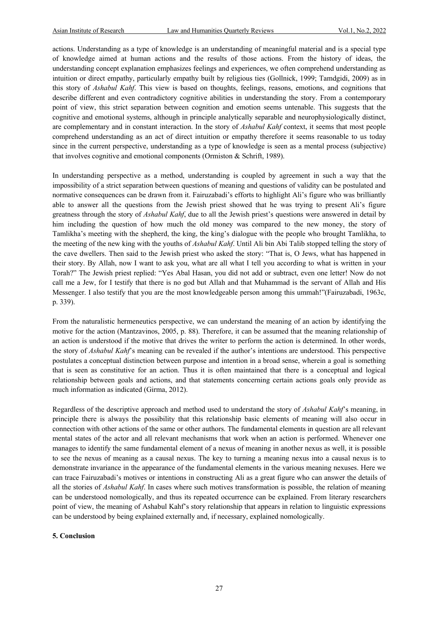actions. Understanding as a type of knowledge is an understanding of meaningful material and is a special type of knowledge aimed at human actions and the results of those actions. From the history of ideas, the understanding concept explanation emphasizes feelings and experiences, we often comprehend understanding as intuition or direct empathy, particularly empathy built by religious ties (Gollnick, 1999; Tamdgidi, 2009) as in this story of *Ashabul Kahf*. This view is based on thoughts, feelings, reasons, emotions, and cognitions that describe different and even contradictory cognitive abilities in understanding the story. From a contemporary point of view, this strict separation between cognition and emotion seems untenable. This suggests that the cognitive and emotional systems, although in principle analytically separable and neurophysiologically distinct, are complementary and in constant interaction. In the story of *Ashabul Kahf* context, it seems that most people comprehend understanding as an act of direct intuition or empathy therefore it seems reasonable to us today since in the current perspective, understanding as a type of knowledge is seen as a mental process (subjective) that involves cognitive and emotional components (Ormiston & Schrift, 1989).

In understanding perspective as a method, understanding is coupled by agreement in such a way that the impossibility of a strict separation between questions of meaning and questions of validity can be postulated and normative consequences can be drawn from it. Fairuzabadi's efforts to highlight Ali's figure who was brilliantly able to answer all the questions from the Jewish priest showed that he was trying to present Ali's figure greatness through the story of *Ashabul Kahf*, due to all the Jewish priest's questions were answered in detail by him including the question of how much the old money was compared to the new money, the story of Tamlikha's meeting with the shepherd, the king, the king's dialogue with the people who brought Tamlikha, to the meeting of the new king with the youths of *Ashabul Kahf*. Until Ali bin Abi Talib stopped telling the story of the cave dwellers. Then said to the Jewish priest who asked the story: "That is, O Jews, what has happened in their story. By Allah, now I want to ask you, what are all what I tell you according to what is written in your Torah?" The Jewish priest replied: "Yes Abal Hasan, you did not add or subtract, even one letter! Now do not call me a Jew, for I testify that there is no god but Allah and that Muhammad is the servant of Allah and His Messenger. I also testify that you are the most knowledgeable person among this ummah!"(Fairuzabadi, 1963c, p. 339).

From the naturalistic hermeneutics perspective, we can understand the meaning of an action by identifying the motive for the action (Mantzavinos, 2005, p. 88). Therefore, it can be assumed that the meaning relationship of an action is understood if the motive that drives the writer to perform the action is determined. In other words, the story of *Ashabul Kahf*'s meaning can be revealed if the author's intentions are understood. This perspective postulates a conceptual distinction between purpose and intention in a broad sense, wherein a goal is something that is seen as constitutive for an action. Thus it is often maintained that there is a conceptual and logical relationship between goals and actions, and that statements concerning certain actions goals only provide as much information as indicated (Girma, 2012).

Regardless of the descriptive approach and method used to understand the story of *Ashabul Kahf*'s meaning, in principle there is always the possibility that this relationship basic elements of meaning will also occur in connection with other actions of the same or other authors. The fundamental elements in question are all relevant mental states of the actor and all relevant mechanisms that work when an action is performed. Whenever one manages to identify the same fundamental element of a nexus of meaning in another nexus as well, it is possible to see the nexus of meaning as a causal nexus. The key to turning a meaning nexus into a causal nexus is to demonstrate invariance in the appearance of the fundamental elements in the various meaning nexuses. Here we can trace Fairuzabadi's motives or intentions in constructing Ali as a great figure who can answer the details of all the stories of *Ashabul Kahf*. In cases where such motives transformation is possible, the relation of meaning can be understood nomologically, and thus its repeated occurrence can be explained. From literary researchers point of view, the meaning of Ashabul Kahf's story relationship that appears in relation to linguistic expressions can be understood by being explained externally and, if necessary, explained nomologically.

#### **5. Conclusion**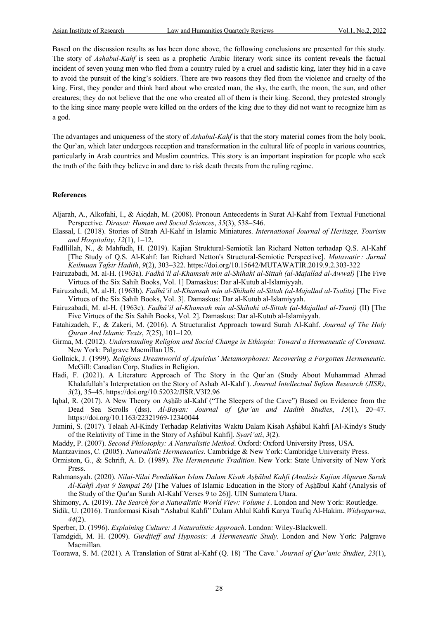Based on the discussion results as has been done above, the following conclusions are presented for this study. The story of *Ashabul-Kahf* is seen as a prophetic Arabic literary work since its content reveals the factual incident of seven young men who fled from a country ruled by a cruel and sadistic king, later they hid in a cave to avoid the pursuit of the king's soldiers. There are two reasons they fled from the violence and cruelty of the king. First, they ponder and think hard about who created man, the sky, the earth, the moon, the sun, and other creatures; they do not believe that the one who created all of them is their king. Second, they protested strongly to the king since many people were killed on the orders of the king due to they did not want to recognize him as a god.

The advantages and uniqueness of the story of *Ashabul-Kahf* is that the story material comes from the holy book, the Qur'an, which later undergoes reception and transformation in the cultural life of people in various countries, particularly in Arab countries and Muslim countries. This story is an important inspiration for people who seek the truth of the faith they believe in and dare to risk death threats from the ruling regime.

#### **References**

- Aljarah, A., Alkofahi, I., & Aiqdah, M. (2008). Pronoun Antecedents in Surat Al-Kahf from Textual Functional Perspective. *Dirasat: Human and Social Sciences*, *35*(3), 538–546.
- Elassal, I. (2018). Stories of Sūrah Al-Kahf in Islamic Miniatures. *International Journal of Heritage, Tourism and Hospitality*, *12*(1), 1–12.
- Fadllillah, N., & Mahfudh, H. (2019). Kajian Struktural-Semiotik Ian Richard Netton terhadap Q.S. Al-Kahf [The Study of Q.S. Al-Kahf: Ian Richard Netton's Structural-Semiotic Perspective]. *Mutawatir : Jurnal Keilmuan Tafsir Hadith*, *9*(2), 303–322. https://doi.org/10.15642/MUTAWATIR.2019.9.2.303-322
- Fairuzabadi, M. al-H. (1963a). *Fadhâ'il al-Khamsah min al-Shihahi al-Sittah (al-Majallad al-Awwal)* [The Five Virtues of the Six Sahih Books, Vol. 1] Damaskus: Dar al-Kutub al-Islamiyyah.
- Fairuzabadi, M. al-H. (1963b). *Fadhâ'il al-Khamsah min al-Shihahi al-Sittah (al-Majallad al-Tsalits)* [The Five Virtues of the Six Sahih Books, Vol. 3]. Damaskus: Dar al-Kutub al-Islamiyyah.
- Fairuzabadi, M. al-H. (1963c). *Fadhâ'il al-Khamsah min al-Shihahi al-Sittah (al-Majallad al-Tsani)* (II) [The Five Virtues of the Six Sahih Books, Vol. 2]. Damaskus: Dar al-Kutub al-Islamiyyah.
- Fatahizadeh, F., & Zakeri, M. (2016). A Structuralist Approach toward Surah Al-Kahf. *Journal of The Holy Quran And Islamic Texts*, *7*(25), 101–120.
- Girma, M. (2012). *Understanding Religion and Social Change in Ethiopia: Toward a Hermeneutic of Covenant*. New York: Palgrave Macmillan US.
- Gollnick, J. (1999). *Religious Dreamworld of Apuleius' Metamorphoses: Recovering a Forgotten Hermeneutic*. McGill: Canadian Corp. Studies in Religion.
- Hadi, F. (2021). A Literature Approach of The Story in the Qur'an (Study About Muhammad Ahmad Khalafullah's Interpretation on the Story of Ashab Al-Kahf ). *Journal Intellectual Sufism Research (JISR)*, *3*(2), 35–45. https://doi.org/10.52032/JISR.V3I2.96
- Iqbal, R. (2017). A New Theory on Aṣḥāb al-Kahf ("The Sleepers of the Cave") Based on Evidence from the Dead Sea Scrolls (dss). *Al-Bayan: Journal of Qur'an and Hadith Studies*, *15*(1), 20–47. https://doi.org/10.1163/22321969-12340044
- Jumini, S. (2017). Telaah Al-Kindy Terhadap Relativitas Waktu Dalam Kisah Aṣhâbul Kahfi [Al-Kindy's Study of the Relativity of Time in the Story of Aṣḣâbul Kahfi]. *Syari'ati*, *3*(2).
- Maddy, P. (2007). *Second Philosophy: A Naturalistic Method*. Oxford: Oxford University Press, USA.
- Mantzavinos, C. (2005). *Naturalistic Hermeneutics*. Cambridge & New York: Cambridge University Press.
- Ormiston, G., & Schrift, A. D. (1989). *The Hermeneutic Tradition*. New York: State University of New York Press.
- Rahmansyah. (2020). *Nilai-Nilai Pendidikan Islam Dalam Kisah Aṣḥābul Kahfi (Analisis Kajian Alquran Surah Al-Kahfi Ayat 9 Sampai 26)* [The Values of Islamic Education in the Story of Aṣḥābul Kahf (Analysis of the Study of the Qur'an Surah Al-Kahf Verses 9 to 26)]. UIN Sumatera Utara.
- Shimony, A. (2019). *The Search for a Naturalistic World View: Volume 1*. London and New York: Routledge.
- Sidik, U. (2016). Tranformasi Kisah "Ashabul Kahfi" Dalam Ahlul Kahfi Karya Taufiq Al-Hakim. *Widyaparwa*, *44*(2).
- Sperber, D. (1996). *Explaining Culture: A Naturalistic Approach*. London: Wiley-Blackwell.
- Tamdgidi, M. H. (2009). *Gurdjieff and Hypnosis: A Hermeneutic Study*. London and New York: Palgrave Macmillan.
- Toorawa, S. M. (2021). A Translation of Sūrat al-Kahf (Q. 18) 'The Cave.' *Journal of Qur'anic Studies*, *23*(1),